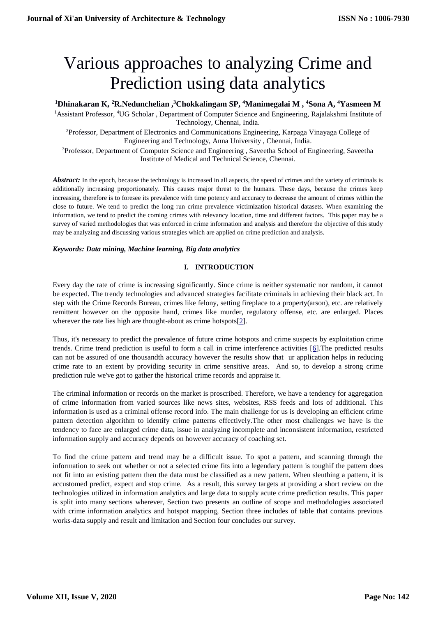# Various approaches to analyzing Crime and Prediction using data analytics

## **<sup>1</sup>Dhinakaran K, <sup>2</sup>R.Nedunchelian ,<sup>3</sup>Chokkalingam SP, <sup>4</sup>Manimegalai M , <sup>4</sup>Sona A, <sup>4</sup>Yasmeen M**

<sup>1</sup>Assistant Professor, <sup>4</sup>UG Scholar , Department of Computer Science and Engineering, Rajalakshmi Institute of Technology, Chennai, India.

<sup>2</sup>Professor, Department of Electronics and Communications Engineering, Karpaga Vinayaga College of Engineering and Technology, Anna University , Chennai, India.

<sup>3</sup>Professor, Department of Computer Science and Engineering, Saveetha School of Engineering, Saveetha Institute of Medical and Technical Science, Chennai.

Abstract: In the epoch, because the technology is increased in all aspects, the speed of crimes and the variety of criminals is additionally increasing proportionately. This causes major threat to the humans. These days, because the crimes keep increasing, therefore is to foresee its prevalence with time potency and accuracy to decrease the amount of crimes within the close to future. We tend to predict the long run crime prevalence victimization historical datasets. When examining the information, we tend to predict the coming crimes with relevancy location, time and different factors. This paper may be a survey of varied methodologies that was enforced in crime information and analysis and therefore the objective of this study may be analyzing and discussing various strategies which are applied on crime prediction and analysis.

## *Keywords: Data mining, Machine learning, Big data analytics*

## **I. INTRODUCTION**

Every day the rate of crime is increasing significantly. Since crime is neither systematic nor random, it cannot be expected. The trendy technologies and advanced strategies facilitate criminals in achieving their black act. In step with the Crime Records Bureau, crimes like felony, setting fireplace to a property(arson), etc. are relatively remittent however on the opposite hand, crimes like murder, regulatory offense, etc. are enlarged. Places wherever the rate lies high are thought-about as crime hotspots[\[2\]](#page-10-0).

Thus, it's necessary to predict the prevalence of future crime hotspots and crime suspects by exploitation crime trends. Crime trend prediction is useful to form a call in crime interference activities [\[6\]](#page-10-1).The predicted results can not be assured of one thousandth accuracy however the results show that ur application helps in reducing crime rate to an extent by providing security in crime sensitive areas. And so, to develop a strong crime prediction rule we've got to gather the historical crime records and appraise it.

The criminal information or records on the market is proscribed. Therefore, we have a tendency for aggregation of crime information from varied sources like news sites, websites, RSS feeds and lots of additional. This information is used as a criminal offense record info. The main challenge for us is developing an efficient crime pattern detection algorithm to identify crime patterns effectively.The other most challenges we have is the tendency to face are enlarged crime data, issue in analyzing incomplete and inconsistent information, restricted information supply and accuracy depends on however accuracy of coaching set.

To find the crime pattern and trend may be a difficult issue. To spot a pattern, and scanning through the information to seek out whether or not a selected crime fits into a legendary pattern is toughif the pattern does not fit into an existing pattern then the data must be classified as a new pattern. When sleuthing a pattern, it is accustomed predict, expect and stop crime. As a result, this survey targets at providing a short review on the technologies utilized in information analytics and large data to supply acute crime prediction results. This paper is split into many sections wherever, Section two presents an outline of scope and methodologies associated with crime information analytics and hotspot mapping, Section three includes of table that contains previous works-data supply and result and limitation and Section four concludes our survey.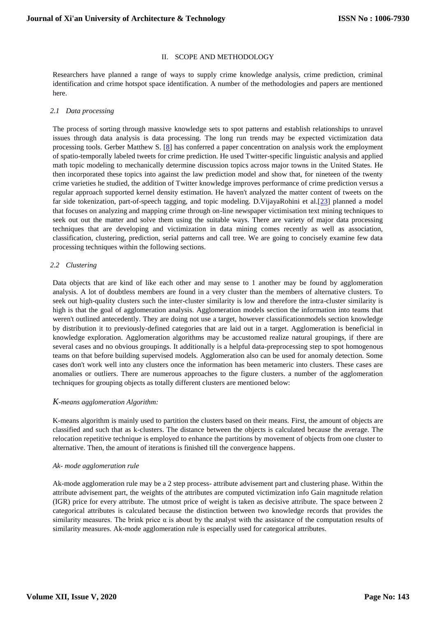## II. SCOPE AND METHODOLOGY

Researchers have planned a range of ways to supply crime knowledge analysis, crime prediction, criminal identification and crime hotspot space identification. A number of the methodologies and papers are mentioned here.

## *2.1 Data processing*

The process of sorting through massive knowledge sets to spot patterns and establish relationships to unravel issues through data analysis is data processing. The long run trends may be expected victimization data processing tools. Gerber Matthew S. [\[8\]](#page-10-2) has conferred a paper concentration on analysis work the employment of spatio-temporally labeled tweets for crime prediction. He used Twitter-specific linguistic analysis and applied math topic modeling to mechanically determine discussion topics across major towns in the United States. He then incorporated these topics into against the law prediction model and show that, for nineteen of the twenty crime varieties he studied, the addition of Twitter knowledge improves performance of crime prediction versus a regular approach supported kernel density estimation. He haven't analyzed the matter content of tweets on the far side tokenization, part-of-speech tagging, and topic modeling. D.VijayaRohini et al.[\[23\]](#page-11-0) planned a model that focuses on analyzing and mapping crime through on-line newspaper victimisation text mining techniques to seek out out the matter and solve them using the suitable ways. There are variety of major data processing techniques that are developing and victimization in data mining comes recently as well as association, classification, clustering, prediction, serial patterns and call tree. We are going to concisely examine few data processing techniques within the following sections.

## *2.2 Clustering*

Data objects that are kind of like each other and may sense to 1 another may be found by agglomeration analysis. A lot of doubtless members are found in a very cluster than the members of alternative clusters. To seek out high-quality clusters such the inter-cluster similarity is low and therefore the intra-cluster similarity is high is that the goal of agglomeration analysis. Agglomeration models section the information into teams that weren't outlined antecedently. They are doing not use a target, however classificationmodels section knowledge by distribution it to previously-defined categories that are laid out in a target. Agglomeration is beneficial in knowledge exploration. Agglomeration algorithms may be accustomed realize natural groupings, if there are several cases and no obvious groupings. It additionally is a helpful data-preprocessing step to spot homogenous teams on that before building supervised models. Agglomeration also can be used for anomaly detection. Some cases don't work well into any clusters once the information has been metameric into clusters. These cases are anomalies or outliers. There are numerous approaches to the figure clusters. a number of the agglomeration techniques for grouping objects as totally different clusters are mentioned below:

## *K-means agglomeration Algorithm:*

K-means algorithm is mainly used to partition the clusters based on their means. First, the amount of objects are classified and such that as k-clusters. The distance between the objects is calculated because the average. The relocation repetitive technique is employed to enhance the partitions by movement of objects from one cluster to alternative. Then, the amount of iterations is finished till the convergence happens.

#### *Ak- mode agglomeration rule*

Ak-mode agglomeration rule may be a 2 step process- attribute advisement part and clustering phase. Within the attribute advisement part, the weights of the attributes are computed victimization info Gain magnitude relation (IGR) price for every attribute. The utmost price of weight is taken as decisive attribute. The space between 2 categorical attributes is calculated because the distinction between two knowledge records that provides the similarity measures. The brink price  $\alpha$  is about by the analyst with the assistance of the computation results of similarity measures. Ak-mode agglomeration rule is especially used for categorical attributes.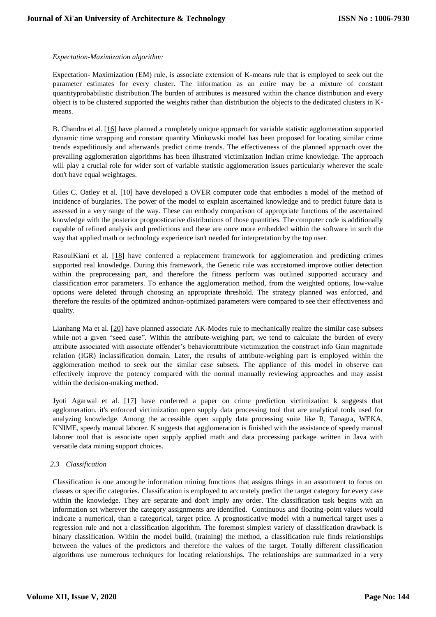## *Expectation-Maximization algorithm:*

Expectation- Maximization (EM) rule, is associate extension of K-means rule that is employed to seek out the parameter estimates for every cluster. The information as an entire may be a mixture of constant quantityprobabilistic distribution.The burden of attributes is measured within the chance distribution and every object is to be clustered supported the weights rather than distribution the objects to the dedicated clusters in Kmeans.

B. Chandra et al. [\[16\]](#page-11-1) have planned a completely unique approach for variable statistic agglomeration supported dynamic time wrapping and constant quantity Minkowski model has been proposed for locating similar crime trends expeditiously and afterwards predict crime trends. The effectiveness of the planned approach over the prevailing agglomeration algorithms has been illustrated victimization Indian crime knowledge. The approach will play a crucial role for wider sort of variable statistic agglomeration issues particularly wherever the scale don't have equal weightages.

Giles C. Oatley et al. [\[10\]](#page-10-3) have developed a OVER computer code that embodies a model of the method of incidence of burglaries. The power of the model to explain ascertained knowledge and to predict future data is assessed in a very range of the way. These can embody comparison of appropriate functions of the ascertained knowledge with the posterior prognosticative distributions of those quantities. The computer code is additionally capable of refined analysis and predictions and these are once more embedded within the software in such the way that applied math or technology experience isn't needed for interpretation by the top user.

RasoulKiani et al. [\[18\]](#page-11-2) have conferred a replacement framework for agglomeration and predicting crimes supported real knowledge. During this framework, the Genetic rule was accustomed improve outlier detection within the preprocessing part, and therefore the fitness perform was outlined supported accuracy and classification error parameters. To enhance the agglomeration method, from the weighted options, low-value options were deleted through choosing an appropriate threshold. The strategy planned was enforced, and therefore the results of the optimized andnon-optimized parameters were compared to see their effectiveness and quality.

Lianhang Ma et al. [\[20\]](#page-11-3) have planned associate AK-Modes rule to mechanically realize the similar case subsets while not a given "seed case". Within the attribute-weighing part, we tend to calculate the burden of every attribute associated with associate offender's behaviorattribute victimization the construct info Gain magnitude relation (IGR) inclassification domain. Later, the results of attribute-weighing part is employed within the agglomeration method to seek out the similar case subsets. The appliance of this model in observe can effectively improve the potency compared with the normal manually reviewing approaches and may assist within the decision-making method.

Jyoti Agarwal et al. [\[17\]](#page-11-4) have conferred a paper on crime prediction victimization k suggests that agglomeration. it's enforced victimization open supply data processing tool that are analytical tools used for analyzing knowledge. Among the accessible open supply data processing suite like R, Tanagra, WEKA, KNIME, speedy manual laborer. K suggests that agglomeration is finished with the assistance of speedy manual laborer tool that is associate open supply applied math and data processing package written in Java with versatile data mining support choices.

## *2.3 Classification*

Classification is one amongthe information mining functions that assigns things in an assortment to focus on classes or specific categories. Classification is employed to accurately predict the target category for every case within the knowledge. They are separate and don't imply any order. The classification task begins with an information set wherever the category assignments are identified. Continuous and floating-point values would indicate a numerical, than a categorical, target price. A prognosticative model with a numerical target uses a regression rule and not a classification algorithm. The foremost simplest variety of classification drawback is binary classification. Within the model build, (training) the method, a classification rule finds relationships between the values of the predictors and therefore the values of the target. Totally different classification algorithms use numerous techniques for locating relationships. The relationships are summarized in a very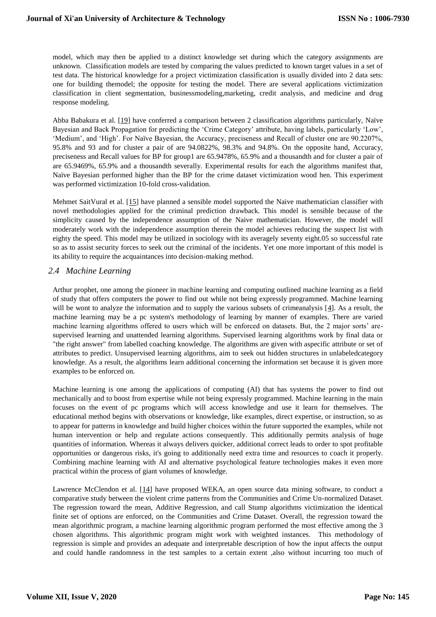model, which may then be applied to a distinct knowledge set during which the category assignments are unknown. Classification models are tested by comparing the values predicted to known target values in a set of test data. The historical knowledge for a project victimization classification is usually divided into 2 data sets: one for building themodel; the opposite for testing the model. There are several applications victimization classification in client segmentation, businessmodeling,marketing, credit analysis, and medicine and drug response modeling.

Abba Babakura et al. [\[19\]](#page-11-5) have conferred a comparison between 2 classification algorithms particularly, Naïve Bayesian and Back Propagation for predicting the 'Crime Category' attribute, having labels, particularly 'Low', 'Medium', and 'High'. For Naïve Bayesian, the Accuracy, preciseness and Recall of cluster one are 90.2207%, 95.8% and 93 and for cluster a pair of are 94.0822%, 98.3% and 94.8%. On the opposite hand, Accuracy, preciseness and Recall values for BP for group1 are 65.9478%, 65.9% and a thousandth and for cluster a pair of are 65.9469%, 65.9% and a thousandth severally. Experimental results for each the algorithms manifest that, Naïve Bayesian performed higher than the BP for the crime dataset victimization wood hen. This experiment was performed victimization 10-fold cross-validation.

Mehmet SaitVural et al. [\[15\]](#page-11-6) have planned a sensible model supported the Naive mathematician classifier with novel methodologies applied for the criminal prediction drawback. This model is sensible because of the simplicity caused by the independence assumption of the Naive mathematician. However, the model will moderately work with the independence assumption therein the model achieves reducing the suspect list with eighty the speed. This model may be utilized in sociology with its averagely seventy eight.05 so successful rate so as to assist security forces to seek out the criminal of the incidents. Yet one more important of this model is its ability to require the acquaintances into decision-making method.

# *2.4 Machine Learning*

Arthur prophet, one among the pioneer in machine learning and computing outlined machine learning as a field of study that offers computers the power to find out while not being expressly programmed. Machine learning will be wont to analyze the information and to supply the various subsets of crimeanalysis  $[4]$ . As a result, the machine learning may be a pc system's methodology of learning by manner of examples. There are varied machine learning algorithms offered to users which will be enforced on datasets. But, the 2 major sorts' aresupervised learning and unattended learning algorithms. Supervised learning algorithms work by final data or "the right answer" from labelled coaching knowledge. The algorithms are given with aspecific attribute or set of attributes to predict. Unsupervised learning algorithms, aim to seek out hidden structures in unlabeledcategory knowledge. As a result, the algorithms learn additional concerning the information set because it is given more examples to be enforced on.

Machine learning is one among the applications of computing (AI) that has systems the power to find out mechanically and to boost from expertise while not being expressly programmed. Machine learning in the main focuses on the event of pc programs which will access knowledge and use it learn for themselves. The educational method begins with observations or knowledge, like examples, direct expertise, or instruction, so as to appear for patterns in knowledge and build higher choices within the future supported the examples, while not human intervention or help and regulate actions consequently. This additionally permits analysis of huge quantities of information. Whereas it always delivers quicker, additional correct leads to order to spot profitable opportunities or dangerous risks, it's going to additionally need extra time and resources to coach it properly. Combining machine learning with AI and alternative psychological feature technologies makes it even more practical within the process of giant volumes of knowledge.

Lawrence McClendon et al. [\[14\]](#page-10-5) have proposed WEKA, an open source data mining software, to conduct a comparative study between the violent crime patterns from the Communities and Crime Un-normalized Dataset. The regression toward the mean, Additive Regression, and call Stump algorithms victimization the identical finite set of options are enforced, on the Communities and Crime Dataset. Overall, the regression toward the mean algorithmic program, a machine learning algorithmic program performed the most effective among the 3 chosen algorithms. This algorithmic program might work with weighted instances. This methodology of regression is simple and provides an adequate and interpretable description of how the input affects the output and could handle randomness in the test samples to a certain extent ,also without incurring too much of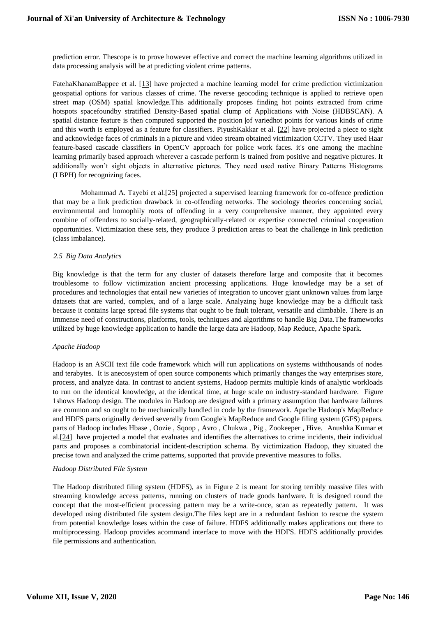prediction error. Thescope is to prove however effective and correct the machine learning algorithms utilized in data processing analysis will be at predicting violent crime patterns.

FatehaKhanamBappee et al. [\[13\]](#page-10-6) have projected a machine learning model for crime prediction victimization geospatial options for various classes of crime. The reverse geocoding technique is applied to retrieve open street map (OSM) spatial knowledge.This additionally proposes finding hot points extracted from crime hotspots spacefoundby stratified Density-Based spatial clump of Applications with Noise (HDBSCAN). A spatial distance feature is then computed supported the position |of variedhot points for various kinds of crime and this worth is employed as a feature for classifiers. PiyushKakkar et al. [\[22\]](#page-11-7) have projected a piece to sight and acknowledge faces of criminals in a picture and video stream obtained victimization CCTV. They used Haar feature-based cascade classifiers in OpenCV approach for police work faces. it's one among the machine learning primarily based approach wherever a cascade perform is trained from positive and negative pictures. It additionally won't sight objects in alternative pictures. They need used native Binary Patterns Histograms (LBPH) for recognizing faces.

Mohammad A. Tayebi et al.[\[25\]](#page-11-8) projected a supervised learning framework for co-offence prediction that may be a link prediction drawback in co-offending networks. The sociology theories concerning social, environmental and homophily roots of offending in a very comprehensive manner, they appointed every combine of offenders to socially-related, geographically-related or expertise connected criminal cooperation opportunities. Victimization these sets, they produce 3 prediction areas to beat the challenge in link prediction (class imbalance).

## *2.5 Big Data Analytics*

Big knowledge is that the term for any cluster of datasets therefore large and composite that it becomes troublesome to follow victimization ancient processing applications. Huge knowledge may be a set of procedures and technologies that entail new varieties of integration to uncover giant unknown values from large datasets that are varied, complex, and of a large scale. Analyzing huge knowledge may be a difficult task because it contains large spread file systems that ought to be fault tolerant, versatile and climbable. There is an immense need of constructions, platforms, tools, techniques and algorithms to handle Big Data.The frameworks utilized by huge knowledge application to handle the large data are Hadoop, Map Reduce, Apache Spark.

## *Apache Hadoop*

Hadoop is an ASCII text file code framework which will run applications on systems withthousands of nodes and terabytes. It is anecosystem of open source components which primarily changes the way enterprises store, process, and analyze data. In contrast to ancient systems, Hadoop permits multiple kinds of analytic workloads to run on the identical knowledge, at the identical time, at huge scale on industry-standard hardware. Figure 1shows Hadoop design. The modules in Hadoop are designed with a primary assumption that hardware failures are common and so ought to be mechanically handled in code by the framework. Apache Hadoop's MapReduce and HDFS parts originally derived severally from Google's MapReduce and Google filing system (GFS) papers. parts of Hadoop includes Hbase , Oozie , Sqoop , Avro , Chukwa , Pig , Zookeeper , Hive. Anushka Kumar et al.[\[24\]](#page-11-9) have projected a model that evaluates and identifies the alternatives to crime incidents, their individual parts and proposes a combinatorial incident-description schema. By victimization Hadoop, they situated the precise town and analyzed the crime patterns, supported that provide preventive measures to folks.

## *Hadoop Distributed File System*

The Hadoop distributed filing system (HDFS), as in Figure 2 is meant for storing terribly massive files with streaming knowledge access patterns, running on clusters of trade goods hardware. It is designed round the concept that the most-efficient processing pattern may be a write-once, scan as repeatedly pattern. It was developed using distributed file system design.The files kept are in a redundant fashion to rescue the system from potential knowledge loses within the case of failure. HDFS additionally makes applications out there to multiprocessing. Hadoop provides acommand interface to move with the HDFS. HDFS additionally provides file permissions and authentication.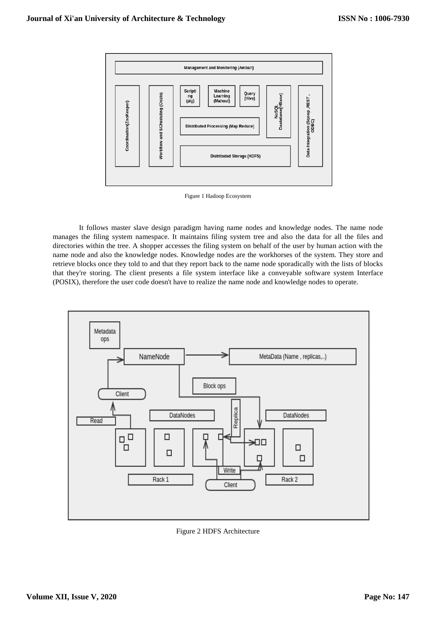

Figure 1 Hadoop Ecosystem

It follows master slave design paradigm having name nodes and knowledge nodes. The name node manages the filing system namespace. It maintains filing system tree and also the data for all the files and directories within the tree. A shopper accesses the filing system on behalf of the user by human action with the name node and also the knowledge nodes. Knowledge nodes are the workhorses of the system. They store and retrieve blocks once they told to and that they report back to the name node sporadically with the lists of blocks that they're storing. The client presents a file system interface like a conveyable software system Interface (POSIX), therefore the user code doesn't have to realize the name node and knowledge nodes to operate.



Figure 2 HDFS Architecture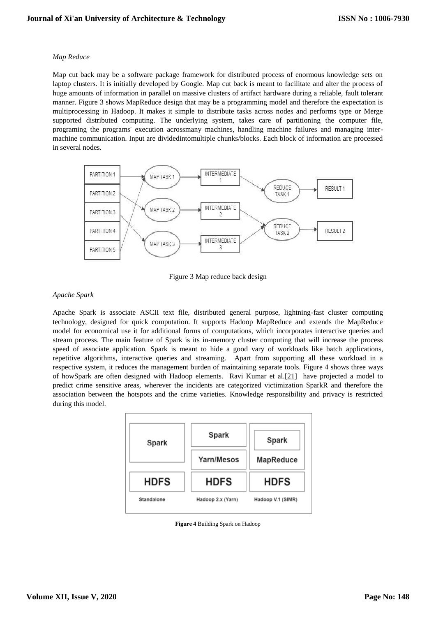## *Map Reduce*

Map cut back may be a software package framework for distributed process of enormous knowledge sets on laptop clusters. It is initially developed by Google. Map cut back is meant to facilitate and alter the process of huge amounts of information in parallel on massive clusters of artifact hardware during a reliable, fault tolerant manner. Figure 3 shows MapReduce design that may be a programming model and therefore the expectation is multiprocessing in Hadoop. It makes it simple to distribute tasks across nodes and performs type or Merge supported distributed computing. The underlying system, takes care of partitioning the computer file, programing the programs' execution acrossmany machines, handling machine failures and managing intermachine communication. Input are dividedintomultiple chunks/blocks. Each block of information are processed in several nodes.



Figure 3 Map reduce back design

## *Apache Spark*

Apache Spark is associate ASCII text file, distributed general purpose, lightning-fast cluster computing technology, designed for quick computation. It supports Hadoop MapReduce and extends the MapReduce model for economical use it for additional forms of computations, which incorporates interactive queries and stream process. The main feature of Spark is its in-memory cluster computing that will increase the process speed of associate application. Spark is meant to hide a good vary of workloads like batch applications, repetitive algorithms, interactive queries and streaming. Apart from supporting all these workload in a respective system, it reduces the management burden of maintaining separate tools. Figure 4 shows three ways of howSpark are often designed with Hadoop elements. Ravi Kumar et al.[\[21\]](#page-11-10) have projected a model to predict crime sensitive areas, wherever the incidents are categorized victimization SparkR and therefore the association between the hotspots and the crime varieties. Knowledge responsibility and privacy is restricted during this model.



**Figure 4** Building Spark on Hadoop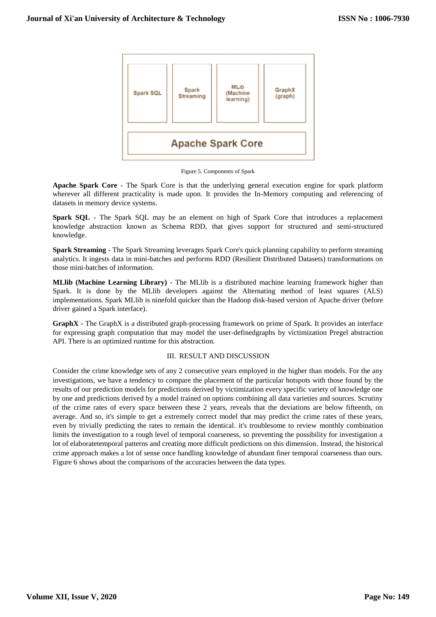

Figure 5. Components of Spark

**Apache Spark Core** - The Spark Core is that the underlying general execution engine for spark platform wherever all different practicality is made upon. It provides the In-Memory computing and referencing of datasets in memory device systems.

**Spark SQL** - The Spark SQL may be an element on high of Spark Core that introduces a replacement knowledge abstraction known as Schema RDD, that gives support for structured and semi-structured knowledge.

**Spark Streaming** - The Spark Streaming leverages Spark Core's quick planning capability to perform streaming analytics. It ingests data in mini-batches and performs RDD (Resilient Distributed Datasets) transformations on those mini-batches of information.

**MLlib (Machine Learning Library)** - The MLlib is a distributed machine learning framework higher than Spark. It is done by the MLlib developers against the Alternating method of least squares (ALS) implementations. Spark MLlib is ninefold quicker than the Hadoop disk-based version of Apache driver (before driver gained a Spark interface).

**GraphX** - The GraphX is a distributed graph-processing framework on prime of Spark. It provides an interface for expressing graph computation that may model the user-definedgraphs by victimization Pregel abstraction API. There is an optimized runtime for this abstraction.

## III. RESULT AND DISCUSSION

Consider the crime knowledge sets of any 2 consecutive years employed in the higher than models. For the any investigations, we have a tendency to compare the placement of the particular hotspots with those found by the results of our prediction models for predictions derived by victimization every specific variety of knowledge one by one and predictions derived by a model trained on options combining all data varieties and sources. Scrutiny of the crime rates of every space between these 2 years, reveals that the deviations are below fifteenth, on average. And so, it's simple to get a extremely correct model that may predict the crime rates of these years, even by trivially predicting the rates to remain the identical. it's troublesome to review monthly combination limits the investigation to a rough level of temporal coarseness, so preventing the possibility for investigation a lot of elaboratetemporal patterns and creating more difficult predictions on this dimension. Instead, the historical crime approach makes a lot of sense once handling knowledge of abundant finer temporal coarseness than ours. Figure 6 shows about the comparisons of the accuracies between the data types.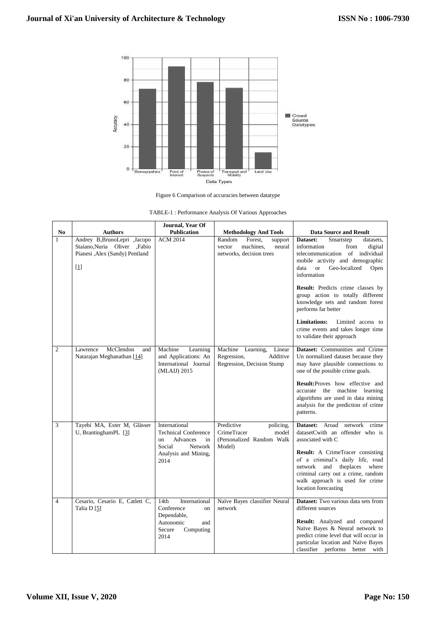

Figure 6 Comparison of accuracies between datatype

| TABLE-1 : Performance Analysis Of Various Approaches |  |  |
|------------------------------------------------------|--|--|
|                                                      |  |  |

|                                |                                                                                                                     | Journal, Year Of<br><b>Publication</b>                                                                                    |                                                                                                                           |                                                                                                                                                                                                                                                                                                                                                                                                                                                                                               |
|--------------------------------|---------------------------------------------------------------------------------------------------------------------|---------------------------------------------------------------------------------------------------------------------------|---------------------------------------------------------------------------------------------------------------------------|-----------------------------------------------------------------------------------------------------------------------------------------------------------------------------------------------------------------------------------------------------------------------------------------------------------------------------------------------------------------------------------------------------------------------------------------------------------------------------------------------|
| N <sub>0</sub><br>$\mathbf{1}$ | <b>Authors</b><br>Andrey B, BrunoLepri , Jacopo<br>Staiano, Nuria Oliver , Fabio<br>Pianesi , Alex (Sandy) Pentland | <b>ACM 2014</b>                                                                                                           | <b>Methodology And Tools</b><br>Random<br>Forest,<br>support<br>machines.<br>neural<br>vector<br>networks, decision trees | <b>Data Source and Result</b><br>Dataset:<br>Smartstep<br>datasets.<br>information<br>from<br>digital<br>telecommunication of individual<br>mobile activity and demographic<br><b>or</b><br>Geo-localized<br>Open<br>data<br>information<br>Result: Predicts crime classes by<br>group action to totally different<br>knowledge sets and random forest<br>performs far better<br><b>Limitations:</b><br>Limited access to<br>crime events and takes longer time<br>to validate their approach |
| $\overline{c}$                 | McClendon<br>Lawrence<br>and<br>Natarajan Meghanathan [14]                                                          | Machine<br>Learning<br>and Applications: An<br>International Journal<br>(MLAIJ) 2015                                      | Machine<br>Learning,<br>Linear<br>Regression,<br>Additive<br>Regression, Decision Stump                                   | Dataset: Communities and Crime<br>Un normalized dataset because they<br>may have plausible connections to<br>one of the possible crime goals.<br><b>Result:</b> Proves how effective and<br>accurate the machine learning<br>algorithms are used in data mining<br>analysis for the prediction of crime<br>patterns.                                                                                                                                                                          |
| 3                              | Tayebi MA, Ester M, Glässer<br>U, BrantinghamPL [3]                                                                 | International<br><b>Technical Conference</b><br>Advances<br>in<br>on<br>Social<br>Network<br>Analysis and Mining,<br>2014 | Predictive<br>policing,<br><b>CrimeTracer</b><br>model<br>(Personalized Random Walk<br>Model)                             | Dataset: Aroad<br>network<br>crime<br>datasetCwith an offender who is<br>associated with C<br>Result: A CrimeTracer consisting<br>of a criminal's daily life, road<br>theplaces where<br>network and<br>criminal carry out a crime, random<br>walk approach is used for crime<br>location forecasting                                                                                                                                                                                         |
| $\overline{4}$                 | Cesario, Cesario E, Catlett C,<br>Talia D [5]                                                                       | 14th<br>International<br>Conference<br>on<br>Dependable,<br>Autonomic<br>and<br>Secure<br>Computing<br>2014               | Naïve Bayes classifier Neural<br>network                                                                                  | <b>Dataset:</b> Two various data sets from<br>different sources<br>Result: Analyzed and compared<br>Naïve Bayes & Neural network to<br>predict crime level that will occur in<br>particular location and Naïve Bayes<br>classifier performs better with                                                                                                                                                                                                                                       |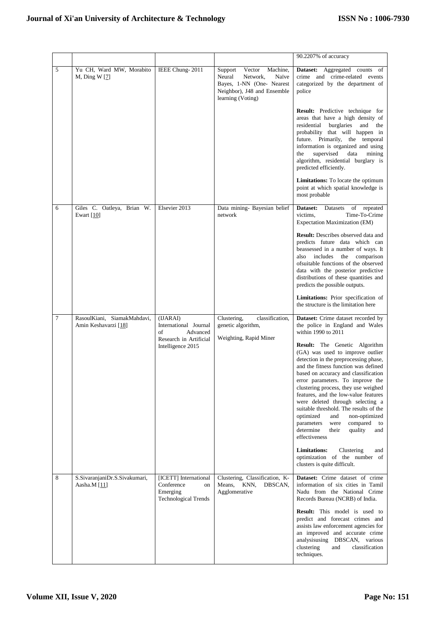|   |                                                     |                                                                                      |                                                                                                                                               | 90.2207% of accuracy                                                                                                                                                                                                                                                                                                                                                                                                                                                                                                               |
|---|-----------------------------------------------------|--------------------------------------------------------------------------------------|-----------------------------------------------------------------------------------------------------------------------------------------------|------------------------------------------------------------------------------------------------------------------------------------------------------------------------------------------------------------------------------------------------------------------------------------------------------------------------------------------------------------------------------------------------------------------------------------------------------------------------------------------------------------------------------------|
| 5 | Yu CH, Ward MW, Morabito<br>M, Ding W $[7]$         | IEEE Chung-2011                                                                      | Machine,<br>Support<br>Vector<br>Neural<br>Network,<br>Naïve<br>Bayes, 1-NN (One- Nearest<br>Neighbor), J48 and Ensemble<br>learning (Voting) | Dataset: Aggregated counts<br>of<br>crime and crime-related events<br>categorized by the department of<br>police                                                                                                                                                                                                                                                                                                                                                                                                                   |
|   |                                                     |                                                                                      |                                                                                                                                               | Result: Predictive technique for<br>areas that have a high density of<br>residential<br>burglaries<br>and the<br>probability that will happen in<br>future. Primarily, the temporal<br>information is organized and using<br>supervised<br>data<br>the<br>mining<br>algorithm, residential burglary is<br>predicted efficiently.                                                                                                                                                                                                   |
|   |                                                     |                                                                                      |                                                                                                                                               | Limitations: To locate the optimum<br>point at which spatial knowledge is<br>most probable                                                                                                                                                                                                                                                                                                                                                                                                                                         |
| 6 | Giles C. Oatleya, Brian W.<br>Ewart $[10]$          | Elsevier 2013                                                                        | Data mining- Bayesian belief<br>network                                                                                                       | Dataset:<br>Datasets<br>of repeated<br>victims.<br>Time-To-Crime<br>Expectation Maximization (EM)                                                                                                                                                                                                                                                                                                                                                                                                                                  |
|   |                                                     |                                                                                      |                                                                                                                                               | <b>Result:</b> Describes observed data and<br>predicts future data which can<br>beassessed in a number of ways. It<br>also includes<br>the<br>comparison<br>ofsuitable functions of the observed<br>data with the posterior predictive<br>distributions of these quantities and<br>predicts the possible outputs.                                                                                                                                                                                                                  |
|   |                                                     |                                                                                      |                                                                                                                                               | Limitations: Prior specification of<br>the structure is the limitation here                                                                                                                                                                                                                                                                                                                                                                                                                                                        |
| 7 | RasoulKiani, SiamakMahdavi,<br>Amin Keshavarzi [18] | (IJARAI)<br>International Journal<br>of<br>Advanced                                  | Clustering,<br>classification,<br>genetic algorithm,<br>Weighting, Rapid Miner                                                                | Dataset: Crime dataset recorded by<br>the police in England and Wales<br>within 1990 to 2011                                                                                                                                                                                                                                                                                                                                                                                                                                       |
|   |                                                     | Research in Artificial<br>Intelligence 2015                                          |                                                                                                                                               | Result: The Genetic Algorithm<br>(GA) was used to improve outlier<br>detection in the preprocessing phase,<br>and the fitness function was defined<br>based on accuracy and classification<br>error parameters. To improve the<br>clustering process, they use weighed<br>features, and the low-value features<br>were deleted through selecting a<br>suitable threshold. The results of the<br>optimized<br>and<br>non-optimized<br>compared<br>parameters<br>were<br>to<br>quality<br>determine<br>their<br>and<br>effectiveness |
|   |                                                     |                                                                                      |                                                                                                                                               | <b>Limitations:</b><br>Clustering<br>and<br>optimization of the number of<br>clusters is quite difficult.                                                                                                                                                                                                                                                                                                                                                                                                                          |
| 8 | S.SivaranjaniDr.S.Sivakumari,<br>Aasha.M [11]       | [ICETT] International<br>Conference<br>on<br>Emerging<br><b>Technological Trends</b> | Clustering, Classification, K-<br>KNN,<br>Means,<br>DBSCAN,<br>Agglomerative                                                                  | Dataset: Crime dataset of crime<br>information of six cities in Tamil<br>Nadu from the National Crime<br>Records Bureau (NCRB) of India.                                                                                                                                                                                                                                                                                                                                                                                           |
|   |                                                     |                                                                                      |                                                                                                                                               | <b>Result:</b> This model is used to<br>predict and forecast crimes and<br>assists law enforcement agencies for<br>an improved and accurate crime<br>analysisusing<br>DBSCAN, various<br>clustering<br>and<br>classification<br>techniques.                                                                                                                                                                                                                                                                                        |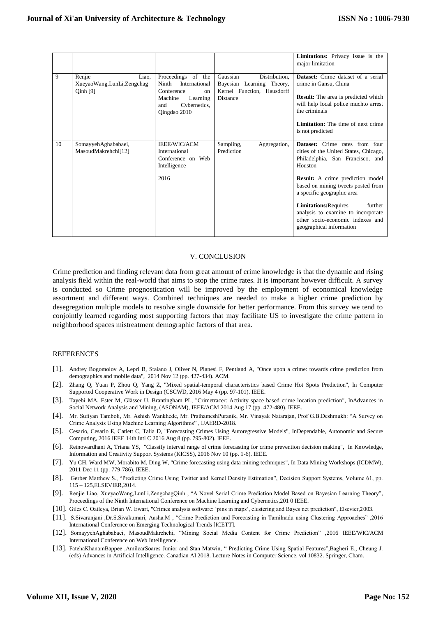|    |                                                          |                                                                                                                                |                                                                                                  | <b>Limitations:</b> Privacy issue is the<br>major limitation                                                                                                                                                                                                                                                                                                                                  |
|----|----------------------------------------------------------|--------------------------------------------------------------------------------------------------------------------------------|--------------------------------------------------------------------------------------------------|-----------------------------------------------------------------------------------------------------------------------------------------------------------------------------------------------------------------------------------------------------------------------------------------------------------------------------------------------------------------------------------------------|
| 9  | Renjie<br>Liao.<br>XueyaoWang,LunLi,Zengchag<br>Qinh [9] | Proceedings of the<br>International<br>Ninth<br>Conference<br>on<br>Learning<br>Machine<br>Cybernetics,<br>and<br>Qingdao 2010 | Gaussian<br>Distribution,<br>Bayesian Learning Theory,<br>Kernel Function, Hausdorff<br>Distance | Dataset: Crime dataset of a serial<br>crime in Gansu, China<br><b>Result:</b> The area is predicted which<br>will help local police muchto arrest<br>the criminals<br>Limitation: The time of next crime<br>is not predicted                                                                                                                                                                  |
| 10 | SomayyehAghababaei,<br>MasoudMakrehchi[12]               | <b>IEEE/WIC/ACM</b><br>International<br>Conference on Web<br>Intelligence<br>2016                                              | Sampling,<br>Aggregation,<br>Prediction                                                          | <b>Dataset:</b> Crime rates from four<br>cities of the United States, Chicago,<br>Philadelphia, San Francisco, and<br>Houston<br><b>Result:</b> A crime prediction model<br>based on mining tweets posted from<br>a specific geographic area<br><b>Limitations: Requires</b><br>further<br>analysis to examine to incorporate<br>other socio-economic indexes and<br>geographical information |

#### <span id="page-10-10"></span><span id="page-10-9"></span><span id="page-10-8"></span><span id="page-10-4"></span><span id="page-10-0"></span>V. CONCLUSION

Crime prediction and finding relevant data from great amount of crime knowledge is that the dynamic and rising analysis field within the real-world that aims to stop the crime rates. It is important however difficult. A survey is conducted so Crime prognostication will be improved by the employment of economical knowledge assortment and different ways. Combined techniques are needed to make a higher crime prediction by desegregation multiple models to resolve single downside for better performance. From this survey we tend to conjointly learned regarding most supporting factors that may facilitate US to investigate the crime pattern in neighborhood spaces mistreatment demographic factors of that area.

#### <span id="page-10-7"></span>**REFERENCES**

- [1]. Andrey Bogomolov A, Lepri B, Staiano J, Oliver N, Pianesi F, Pentland A, "Once upon a crime: towards crime prediction from demographics and mobile data", 2014 Nov 12 (pp. 427-434). ACM.
- [2]. Zhang Q, Yuan P, Zhou Q, Yang Z, "Mixed spatial-temporal characteristics based Crime Hot Spots Prediction", In Computer Supported Cooperative Work in Design (CSCWD, 2016 May 4 (pp. 97-101). IEEE.
- [3]. Tayebi MA, Ester M, Glässer U, Brantingham PL, "Crimetracer: Activity space based crime location prediction", InAdvances in Social Network Analysis and Mining, (ASONAM), IEEE/ACM 2014 Aug 17 (pp. 472-480). IEEE.
- [4]. Mr. Sufiyan Tamboli, Mr. Ashish Wankhede, Mr. PrathameshPuranik, Mr. Vinayak Natarajan, Prof G.B.Deshmukh: "A Survey on Crime Analysis Using Machine Learning Algorithms" , IJAERD-2018.
- <span id="page-10-1"></span>[5]. Cesario, Cesario E, Catlett C, Talia D, "Forecasting Crimes Using Autoregressive Models", InDependable, Autonomic and Secure Computing, 2016 IEEE 14th Intl C 2016 Aug 8 (pp. 795-802). IEEE.
- [6]. Retnowardhani A, Triana YS, "Classify interval range of crime forecasting for crime prevention decision making", In Knowledge, Information and Creativity Support Systems (KICSS), 2016 Nov 10 (pp. 1-6). IEEE.
- [7]. Yu CH, Ward MW, Morabito M, Ding W, "Crime forecasting using data mining techniques", In Data Mining Workshops (ICDMW), 2011 Dec 11 (pp. 779-786). IEEE.
- <span id="page-10-12"></span><span id="page-10-2"></span>[8]. Gerber Matthew S., "Predicting Crime Using Twitter and Kernel Density Estimation", Decision Support Systems, Volume 61, pp. 115 – 125,ELSEVIER,2014.
- <span id="page-10-3"></span>[9]. Renjie Liao, XueyaoWang,LunLi,ZengchagQinh , "A Novel Serial Crime Prediction Model Based on Bayesian Learning Theory", Proceedings of the Ninth International Conference on Machine Learning and Cybernetics,201 0 IEEE.
- [10]. Giles C. Oatleya, Brian W. Ewart, "Crimes analysis software: 'pins in maps', clustering and Bayes net prediction", Elsevier,2003.
- <span id="page-10-11"></span>[11]. S.Sivaranjani ,Dr.S.Sivakumari, Aasha.M , "Crime Prediction and Forecasting in Tamilnadu using Clustering Approaches" ,2016 International Conference on Emerging Technological Trends [ICETT].
- <span id="page-10-13"></span><span id="page-10-6"></span>[12]. SomayyehAghababaei, MasoudMakrehchi, "Mining Social Media Content for Crime Prediction" ,2016 IEEE/WIC/ACM International Conference on Web Intelligence.
- <span id="page-10-5"></span>[13]. FatehaKhanamBappee ,AmilcarSoares Junior and Stan Matwin, " Predicting Crime Using Spatial Features",Bagheri E., Cheung J. (eds) Advances in Artificial Intelligence. Canadian AI 2018. Lecture Notes in Computer Science, vol 10832. Springer, Cham.